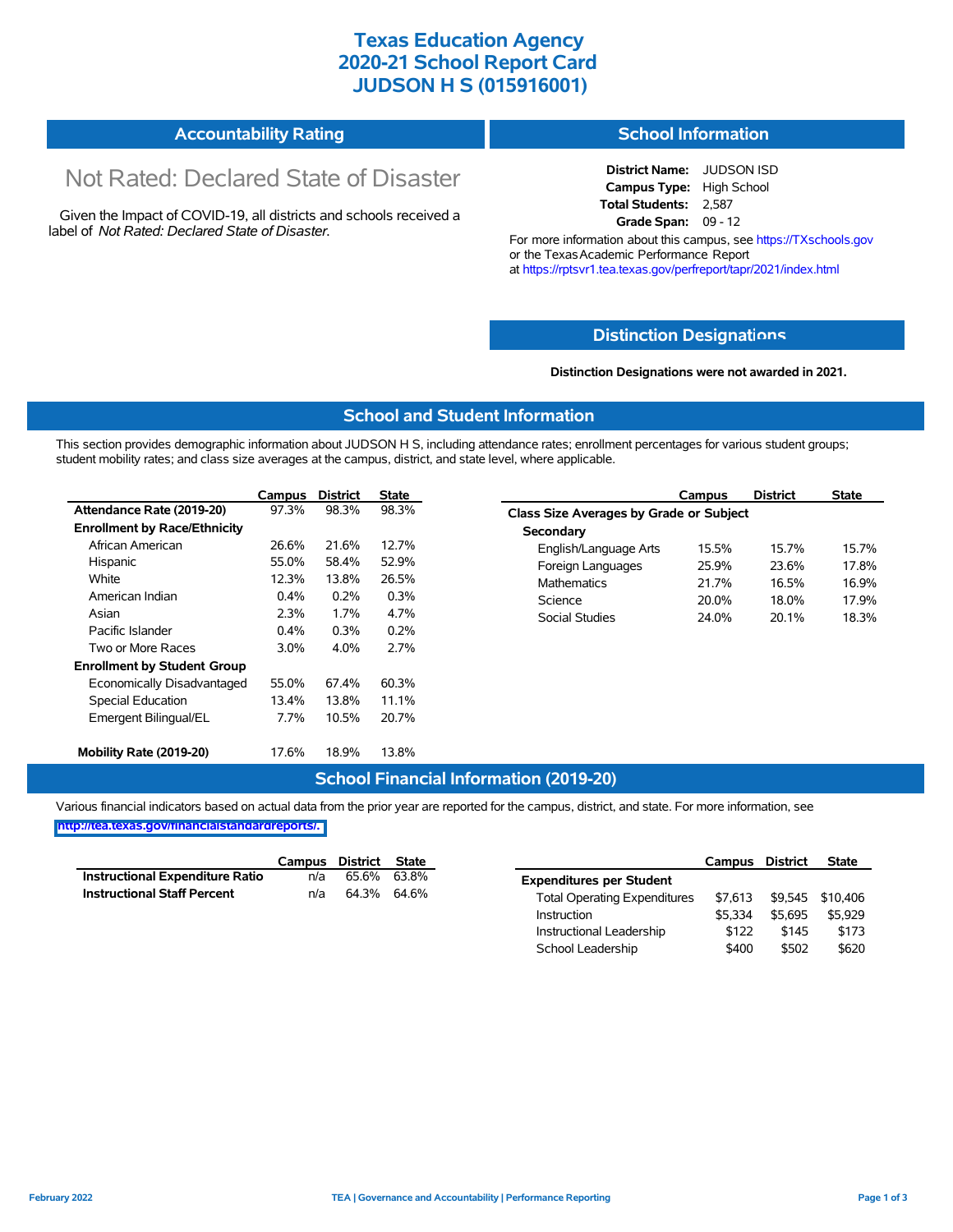## **Texas Education Agency 2020-21 School Report Card JUDSON H S (015916001)**

#### **Accountability Rating School Information**

# Not Rated: Declared State of Disaster

Given the Impact of COVID-19, all districts and schools received a label of *Not Rated: Declared State of Disaster.*

**District Name:** JUDSON ISD **Campus Type:** High School **Total Students:** 2,587 **Grade Span:** 09 - 12

For more information about this campus, see https://TXschools.gov or the Texas Academic Performance Report at https://rptsvr1.tea.texas.gov/perfreport/tapr/2021/index.html

#### **Distinction Designat[ions](https://TXschools.gov)**

#### **Distinction Designations were not awarded in 2021.**

School Leadership  $$400$  \$502 \$620

#### **School and Student Information**

This section provides demographic information about JUDSON H S, including attendance rates; enrollment percentages for various student groups; student mobility rates; and class size averages at the campus, district, and state level, where applicable.

|                                     | Campus  | <b>District</b> | <b>State</b> | Campus                                         |       | <b>District</b> | <b>State</b> |  |  |  |
|-------------------------------------|---------|-----------------|--------------|------------------------------------------------|-------|-----------------|--------------|--|--|--|
| Attendance Rate (2019-20)           | 97.3%   | 98.3%           | 98.3%        | <b>Class Size Averages by Grade or Subject</b> |       |                 |              |  |  |  |
| <b>Enrollment by Race/Ethnicity</b> |         |                 |              | Secondary                                      |       |                 |              |  |  |  |
| African American                    | 26.6%   | 21.6%           | 12.7%        | English/Language Arts                          | 15.5% | 15.7%           |              |  |  |  |
| Hispanic                            | 55.0%   | 58.4%           | 52.9%        | Foreign Languages                              | 25.9% | 23.6%           |              |  |  |  |
| White                               | 12.3%   | 13.8%           | 26.5%        | <b>Mathematics</b>                             | 21.7% | 16.5%           |              |  |  |  |
| American Indian                     | 0.4%    | 0.2%            | 0.3%         | Science                                        | 20.0% | 18.0%           |              |  |  |  |
| Asian                               | 2.3%    | 1.7%            | 4.7%         | <b>Social Studies</b>                          | 24.0% | 20.1%           |              |  |  |  |
| Pacific Islander                    | 0.4%    | 0.3%            | 0.2%         |                                                |       |                 |              |  |  |  |
| Two or More Races                   | $3.0\%$ | 4.0%            | 2.7%         |                                                |       |                 |              |  |  |  |
| <b>Enrollment by Student Group</b>  |         |                 |              |                                                |       |                 |              |  |  |  |
| Economically Disadvantaged          | 55.0%   | 67.4%           | 60.3%        |                                                |       |                 |              |  |  |  |
| Special Education                   | 13.4%   | 13.8%           | 11.1%        |                                                |       |                 |              |  |  |  |
| Emergent Bilingual/EL               | $7.7\%$ | 10.5%           | 20.7%        |                                                |       |                 |              |  |  |  |
| Mobility Rate (2019-20)             | 17.6%   | 18.9%           | 13.8%        |                                                |       |                 |              |  |  |  |

#### **School Financial Information (2019-20)**

Various financial indicators based on actual data from the prior year are reported for the campus, district, and state. For more information, see

**[http://tea.texas.gov/financialstandardreports/.](http://tea.texas.gov/financialstandardreports/)**

|                                    | Campus | District State |             |                                     | Campus  | <b>District</b> | <b>State</b>     |
|------------------------------------|--------|----------------|-------------|-------------------------------------|---------|-----------------|------------------|
| Instructional Expenditure Ratio    | n/a    |                | 65.6% 63.8% | <b>Expenditures per Student</b>     |         |                 |                  |
| <b>Instructional Staff Percent</b> | n/a    | 64.3% 64.6%    |             | <b>Total Operating Expenditures</b> | \$7.613 |                 | \$9,545 \$10,406 |
|                                    |        |                |             | Instruction                         | \$5.334 | \$5.695         | \$5,929          |
|                                    |        |                |             | Instructional Leadership            | \$122   | \$145           | \$173            |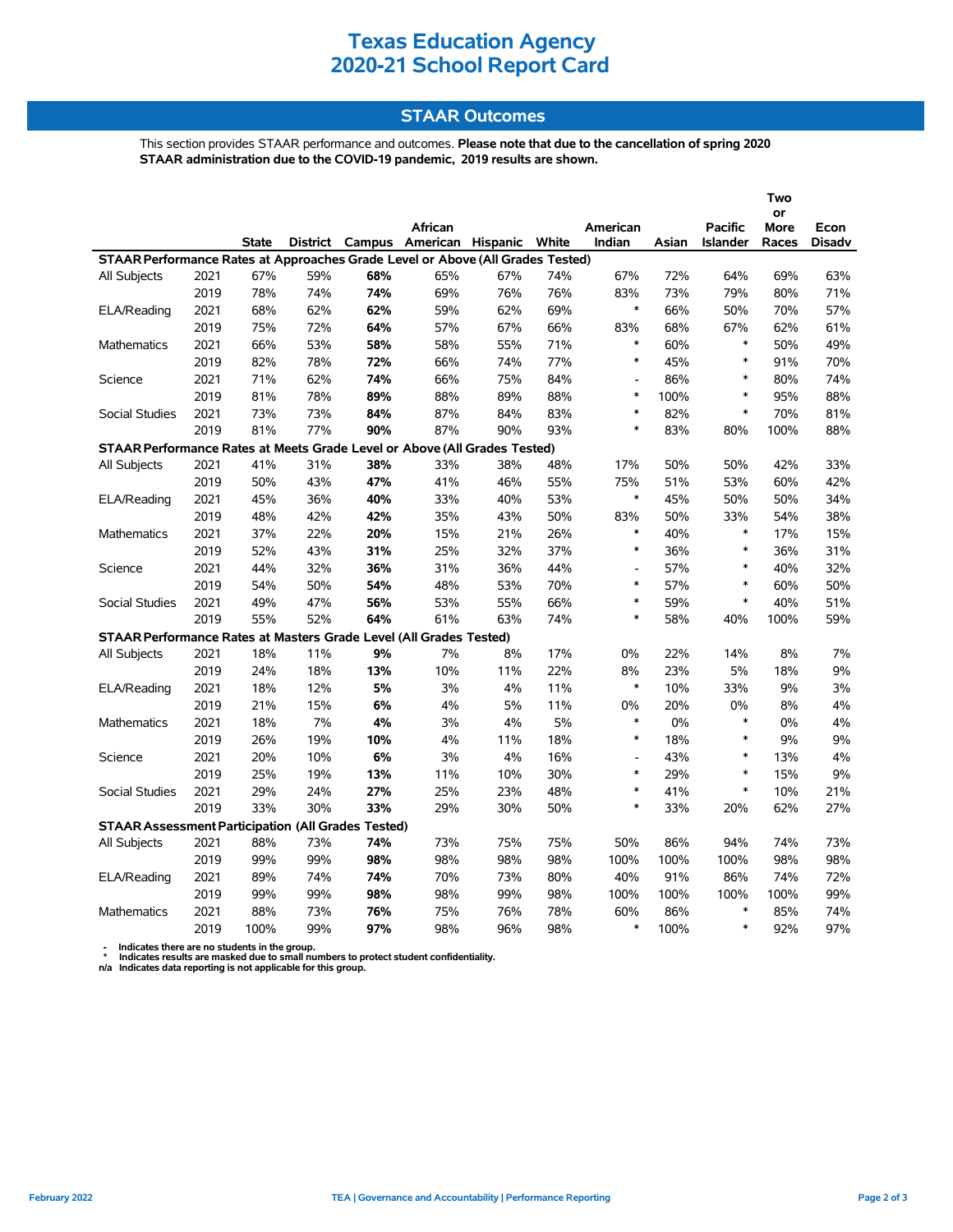# **Texas Education Agency 2020-21 School Report Card**

### **STAAR Outcomes**

This section provides STAAR performance and outcomes. **Please note that due to the cancellation of spring 2020 STAAR administration due to the COVID-19 pandemic, 2019 results are shown.**

|                                                                                                                           |      |              |     |     |         |     |     |                |       |                 | Two               |               |
|---------------------------------------------------------------------------------------------------------------------------|------|--------------|-----|-----|---------|-----|-----|----------------|-------|-----------------|-------------------|---------------|
|                                                                                                                           |      |              |     |     | African |     |     | American       |       | <b>Pacific</b>  | or<br><b>More</b> | Econ          |
|                                                                                                                           |      | <b>State</b> |     |     |         |     |     | Indian         | Asian | <b>Islander</b> | Races             | <b>Disadv</b> |
| District Campus American Hispanic White<br>STAAR Performance Rates at Approaches Grade Level or Above (All Grades Tested) |      |              |     |     |         |     |     |                |       |                 |                   |               |
| All Subjects                                                                                                              | 2021 | 67%          | 59% | 68% | 65%     | 67% | 74% | 67%            | 72%   | 64%             | 69%               | 63%           |
|                                                                                                                           | 2019 | 78%          | 74% | 74% | 69%     | 76% | 76% | 83%            | 73%   | 79%             | 80%               | 71%           |
| ELA/Reading                                                                                                               | 2021 | 68%          | 62% | 62% | 59%     | 62% | 69% | $\ast$         | 66%   | 50%             | 70%               | 57%           |
|                                                                                                                           | 2019 | 75%          | 72% | 64% | 57%     | 67% | 66% | 83%            | 68%   | 67%             | 62%               | 61%           |
| Mathematics                                                                                                               | 2021 | 66%          | 53% | 58% | 58%     | 55% | 71% | $\ast$         | 60%   | $\ast$          | 50%               | 49%           |
|                                                                                                                           | 2019 | 82%          | 78% | 72% | 66%     | 74% | 77% | $\ast$         | 45%   | $\ast$          | 91%               | 70%           |
| Science                                                                                                                   | 2021 | 71%          | 62% | 74% | 66%     | 75% | 84% | L,             | 86%   | $\ast$          | 80%               | 74%           |
|                                                                                                                           | 2019 | 81%          | 78% | 89% | 88%     | 89% | 88% | $\ast$         | 100%  | $\ast$          | 95%               | 88%           |
| <b>Social Studies</b>                                                                                                     | 2021 | 73%          | 73% | 84% | 87%     | 84% | 83% | $\ast$         | 82%   | $\ast$          | 70%               | 81%           |
|                                                                                                                           | 2019 | 81%          | 77% | 90% | 87%     | 90% | 93% | *              | 83%   | 80%             | 100%              | 88%           |
| STAAR Performance Rates at Meets Grade Level or Above (All Grades Tested)                                                 |      |              |     |     |         |     |     |                |       |                 |                   |               |
| All Subjects                                                                                                              | 2021 | 41%          | 31% | 38% | 33%     | 38% | 48% | 17%            | 50%   | 50%             | 42%               | 33%           |
|                                                                                                                           | 2019 | 50%          | 43% | 47% | 41%     | 46% | 55% | 75%            | 51%   | 53%             | 60%               | 42%           |
| ELA/Reading                                                                                                               | 2021 | 45%          | 36% | 40% | 33%     | 40% | 53% | $\ast$         | 45%   | 50%             | 50%               | 34%           |
|                                                                                                                           | 2019 | 48%          | 42% | 42% | 35%     | 43% | 50% | 83%            | 50%   | 33%             | 54%               | 38%           |
| <b>Mathematics</b>                                                                                                        | 2021 | 37%          | 22% | 20% | 15%     | 21% | 26% | $\ast$         | 40%   | $\ast$          | 17%               | 15%           |
|                                                                                                                           | 2019 | 52%          | 43% | 31% | 25%     | 32% | 37% | $\ast$         | 36%   | $\ast$          | 36%               | 31%           |
| Science                                                                                                                   | 2021 | 44%          | 32% | 36% | 31%     | 36% | 44% | $\overline{a}$ | 57%   | $\ast$          | 40%               | 32%           |
|                                                                                                                           | 2019 | 54%          | 50% | 54% | 48%     | 53% | 70% | $\ast$         | 57%   | $\ast$          | 60%               | 50%           |
| <b>Social Studies</b>                                                                                                     | 2021 | 49%          | 47% | 56% | 53%     | 55% | 66% | $\ast$         | 59%   | $\ast$          | 40%               | 51%           |
|                                                                                                                           | 2019 | 55%          | 52% | 64% | 61%     | 63% | 74% | $\ast$         | 58%   | 40%             | 100%              | 59%           |
| STAAR Performance Rates at Masters Grade Level (All Grades Tested)                                                        |      |              |     |     |         |     |     |                |       |                 |                   |               |
| <b>All Subjects</b>                                                                                                       | 2021 | 18%          | 11% | 9%  | 7%      | 8%  | 17% | 0%             | 22%   | 14%             | 8%                | 7%            |
|                                                                                                                           | 2019 | 24%          | 18% | 13% | 10%     | 11% | 22% | 8%             | 23%   | 5%              | 18%               | $9\%$         |
| ELA/Reading                                                                                                               | 2021 | 18%          | 12% | 5%  | 3%      | 4%  | 11% | $\ast$         | 10%   | 33%             | 9%                | 3%            |
|                                                                                                                           | 2019 | 21%          | 15% | 6%  | 4%      | 5%  | 11% | 0%             | 20%   | $0\%$           | 8%                | 4%            |
| <b>Mathematics</b>                                                                                                        | 2021 | 18%          | 7%  | 4%  | 3%      | 4%  | 5%  | $\ast$         | 0%    | $\ast$          | 0%                | 4%            |
|                                                                                                                           | 2019 | 26%          | 19% | 10% | 4%      | 11% | 18% | $\ast$         | 18%   | $\ast$          | 9%                | 9%            |
| Science                                                                                                                   | 2021 | 20%          | 10% | 6%  | 3%      | 4%  | 16% | $\overline{a}$ | 43%   | $\ast$          | 13%               | 4%            |
|                                                                                                                           | 2019 | 25%          | 19% | 13% | 11%     | 10% | 30% | $\ast$         | 29%   | $\ast$          | 15%               | 9%            |
| Social Studies                                                                                                            | 2021 | 29%          | 24% | 27% | 25%     | 23% | 48% | $\ast$         | 41%   | $\ast$          | 10%               | 21%           |
|                                                                                                                           | 2019 | 33%          | 30% | 33% | 29%     | 30% | 50% | $\ast$         | 33%   | 20%             | 62%               | 27%           |
| <b>STAAR Assessment Participation (All Grades Tested)</b>                                                                 |      |              |     |     |         |     |     |                |       |                 |                   |               |
| All Subjects                                                                                                              | 2021 | 88%          | 73% | 74% | 73%     | 75% | 75% | 50%            | 86%   | 94%             | 74%               | 73%           |
|                                                                                                                           | 2019 | 99%          | 99% | 98% | 98%     | 98% | 98% | 100%           | 100%  | 100%            | 98%               | 98%           |
| ELA/Reading                                                                                                               | 2021 | 89%          | 74% | 74% | 70%     | 73% | 80% | 40%            | 91%   | 86%             | 74%               | 72%           |
|                                                                                                                           | 2019 | 99%          | 99% | 98% | 98%     | 99% | 98% | 100%           | 100%  | 100%            | 100%              | 99%           |
| <b>Mathematics</b>                                                                                                        | 2021 | 88%          | 73% | 76% | 75%     | 76% | 78% | 60%            | 86%   | $\ast$          | 85%               | 74%           |
|                                                                                                                           | 2019 | 100%         | 99% | 97% | 98%     | 96% | 98% | $\ast$         | 100%  | $\ast$          | 92%               | 97%           |

 **- Indicates there are no students in the group. \* Indicates results are masked due to small numbers to protect student confidentiality.**

**n/a Indicates data reporting is not applicable for this group.**